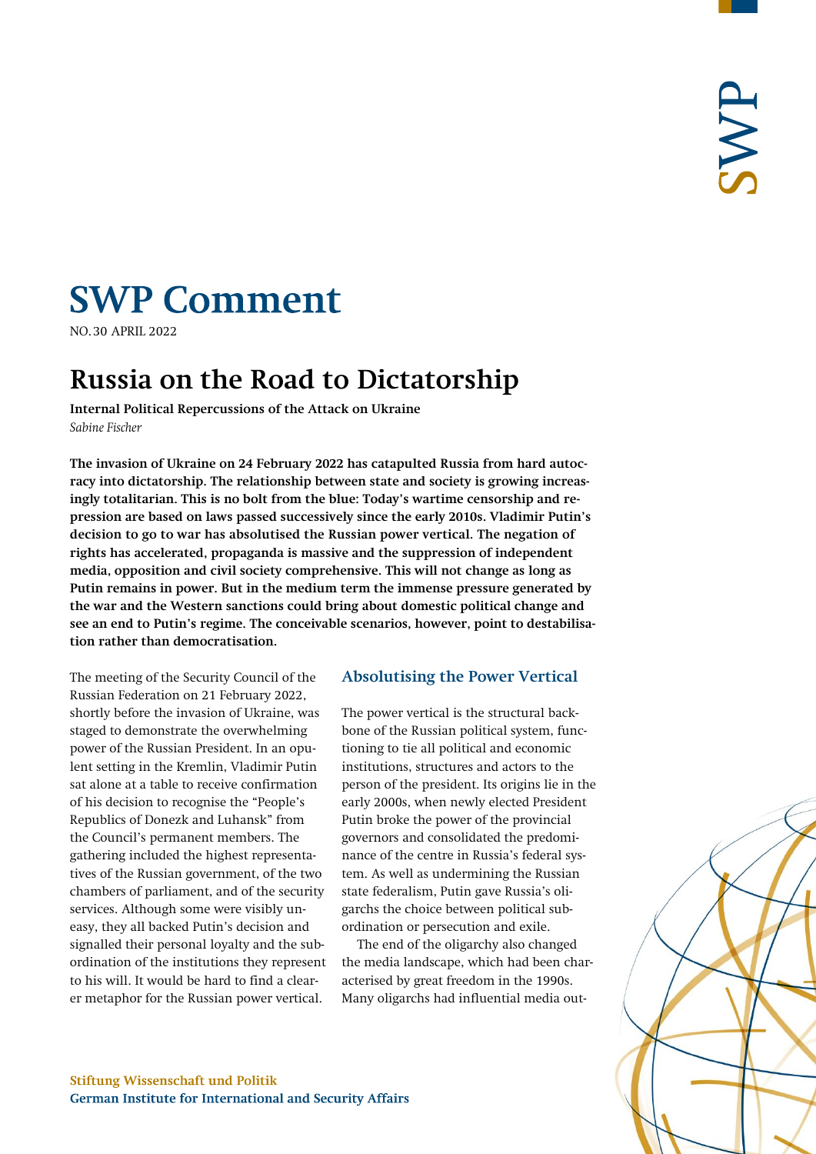# **SWP Comment**

**NO.30 APRIL 2022** 

## **Russia on the Road to Dictatorship**

**Internal Political Repercussions of the Attack on Ukraine** *Sabine Fischer*

**The invasion of Ukraine on 24 February 2022 has catapulted Russia from hard autocracy into dictatorship. The relationship between state and society is growing increasingly totalitarian. This is no bolt from the blue: Today's wartime censorship and repression are based on laws passed successively since the early 2010s. Vladimir Putin's decision to go to war has absolutised the Russian power vertical. The negation of rights has accelerated, propaganda is massive and the suppression of independent media, opposition and civil society comprehensive. This will not change as long as Putin remains in power. But in the medium term the immense pressure generated by the war and the Western sanctions could bring about domestic political change and see an end to Putin's regime. The conceivable scenarios, however, point to destabilisation rather than democratisation.**

The meeting of the Security Council of the Russian Federation on 21 February 2022, shortly before the invasion of Ukraine, was staged to demonstrate the overwhelming power of the Russian President. In an opulent setting in the Kremlin, Vladimir Putin sat alone at a table to receive confirmation of his decision to recognise the "People's Republics of Donezk and Luhansk" from the Council's permanent members. The gathering included the highest representatives of the Russian government, of the two chambers of parliament, and of the security services. Although some were visibly uneasy, they all backed Putin's decision and signalled their personal loyalty and the subordination of the institutions they represent to his will. It would be hard to find a clearer metaphor for the Russian power vertical.

#### **Absolutising the Power Vertical**

The power vertical is the structural backbone of the Russian political system, functioning to tie all political and economic institutions, structures and actors to the person of the president. Its origins lie in the early 2000s, when newly elected President Putin broke the power of the provincial governors and consolidated the predominance of the centre in Russia's federal system. As well as undermining the Russian state federalism, Putin gave Russia's oligarchs the choice between political subordination or persecution and exile.

The end of the oligarchy also changed the media landscape, which had been characterised by great freedom in the 1990s. Many oligarchs had influential media out-

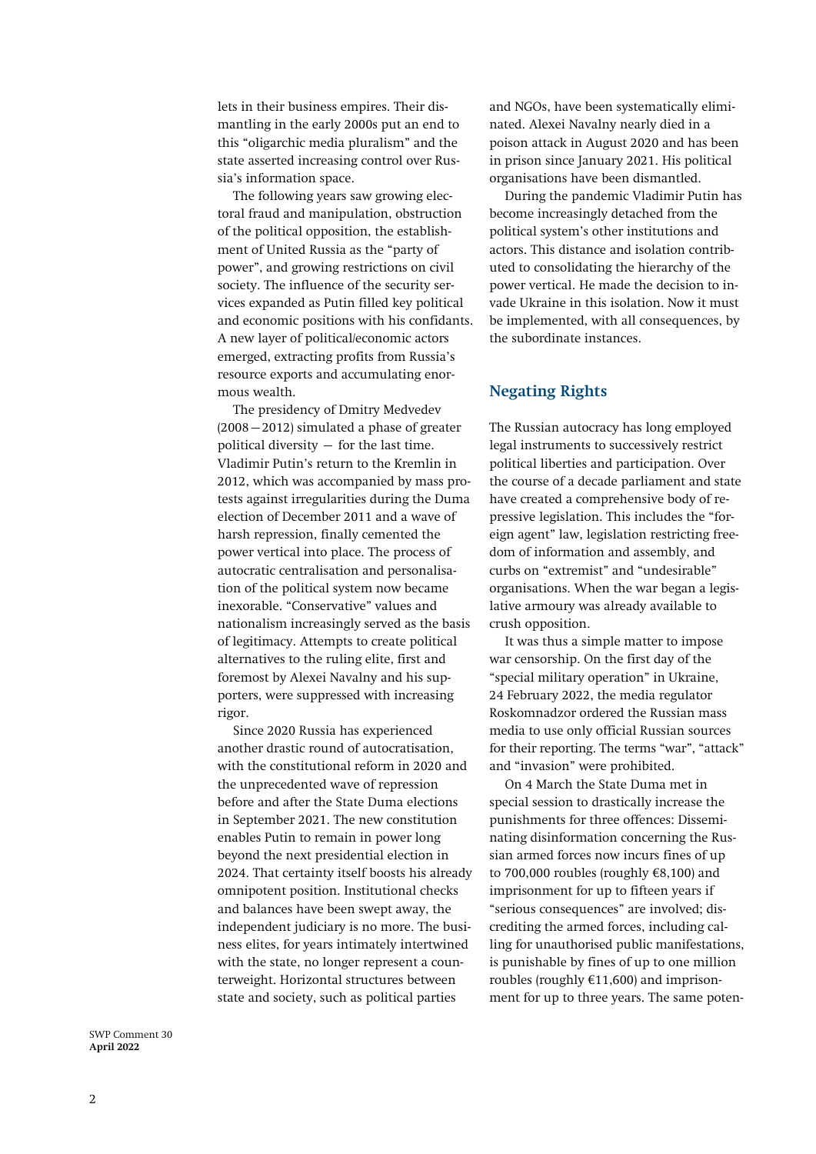lets in their business empires. Their dismantling in the early 2000s put an end to this "oligarchic media pluralism" and the state asserted increasing control over Russia's information space.

The following years saw growing electoral fraud and manipulation, obstruction of the political opposition, the establishment of United Russia as the "party of power", and growing restrictions on civil society. The influence of the security services expanded as Putin filled key political and economic positions with his confidants. A new layer of political/economic actors emerged, extracting profits from Russia's resource exports and accumulating enormous wealth.

The presidency of Dmitry Medvedev (2008–2012) simulated a phase of greater political diversity  $-$  for the last time. Vladimir Putin's return to the Kremlin in 2012, which was accompanied by mass protests against irregularities during the Duma election of December 2011 and a wave of harsh repression, finally cemented the power vertical into place. The process of autocratic centralisation and personalisation of the political system now became inexorable. "Conservative" values and nationalism increasingly served as the basis of legitimacy. Attempts to create political alternatives to the ruling elite, first and foremost by Alexei Navalny and his supporters, were suppressed with increasing rigor.

Since 2020 Russia has experienced another drastic [round of autocratisation,](https://www.swp-berlin.org/publikation/repression-and-autocracy-as-russia-heads-into-state-duma-elections) with the constitutional reform in 2020 and the unprecedented wave of repression before and after the State Duma elections in September 2021. The new constitution enables Putin to remain in power long beyond the next presidential election in 2024. That certainty itself boosts his already omnipotent position. Institutional checks and balances have been swept away, the independent judiciary is no more. The business elites, for years intimately intertwined with the state, no longer represent a counterweight. Horizontal structures between state and society, such as political parties

an[d NGOs,](https://zeitschrift-osteuropa.de/hefte/2021/8-9/ueberleben-in-der-autokratie/) have been systematically eliminated. Alexei Navalny nearly died in a poison attack in August 2020 and has been in prison since January 2021. His political organisations have been dismantled.

During the pandemic Vladimir Putin has become increasingly detached from the political system's other institutions and actors. This distance and isolation contributed to consolidating the hierarchy of the power vertical. He made the decision to invade Ukraine in this isolation. Now it must be implemented, with all consequences, by the subordinate instances.

#### **Negating Rights**

The Russian autocracy has long employed legal instruments to successively restrict political liberties and participation. Over the course of a decade parliament and state have created a comprehensive body of repressive legislation. This includes the "foreign agent" law, [legislation](https://spring96.org/files/misc/fidh_rapport_russie_ru.pdf) restricting freedom of information and [assembly,](https://reports.ovdinfo.org/zakonodatelnye-ogranicheniya-svobody-sobraniy-pod-konec-2020-goda#2-1) and curbs on "extremist" and "undesirable" organisations. When the war began a legislative armoury was already available to crush opposition.

It was thus a simple matter to impose war censorship. On the first day of the "special military operation" in Ukraine, 24 February 2022, the media regulator Roskomnadzor ordered the Russian mass media to use only official Russian sources for their reporting. The terms "war", "attack" and "invasion" were prohibited.

On 4 March the State Duma met in special session to [drastically increase](https://reports.ovdinfo.org/no-to-war#2) the punishments for [three offences:](https://mmdc.ru/services/common/chto-teper-nelzya-pisat-o-vooruzhennyh-silah-rf/) Disseminating disinformation concerning the Russian armed forces now incurs fines of up to 700,000 roubles (roughly  $\text{\textsterling}8,100$ ) and imprisonment for up to fifteen years if "serious consequences" are involved; discrediting the armed forces, including calling for unauthorised public manifestations, is punishable by fines of up to one million roubles (roughly  $£11,600$ ) and imprisonment for up to three years. The same poten-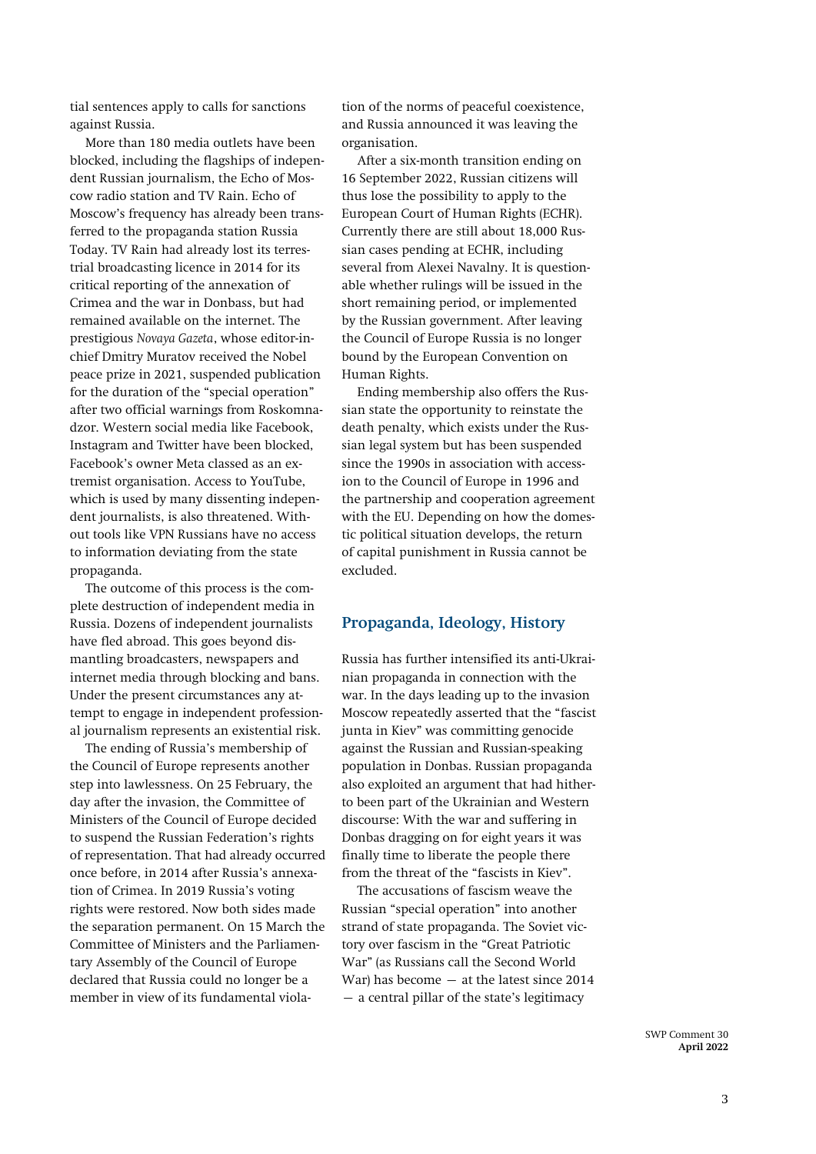tial sentences apply to calls for sanctions against Russia.

More than [180 media outlets](https://reports.ovdinfo.org/no-to-war#9) have been blocked, including the flagships of independent Russian journalism, the Echo of Moscow radio station and TV Rain. Echo of Moscow's frequency has already been transferred to the propaganda station Russia Today. TV Rain had already lost its terrestrial broadcasting licence in 2014 for its critical reporting of the annexation of Crimea and the war in Donbass, but had remained available on the internet. The prestigious *Novaya Gazeta*, whose editor-inchief Dmitry Muratov received the Nobel peace prize in 2021, suspended publication for the duration of the "special operation" after two official warnings from Roskomnadzor. Western social media like Facebook, Instagram and Twitter have been blocked, Facebook's owner Meta classed as an extremist organisation. Access to YouTube, which is used by many dissenting independent journalists, is also threatened. Without tools like VPN Russians have no access to information deviating from the state propaganda.

The outcome of this process is the complete destruction of independent media in Russia. Dozens of independent journalists have fled abroad. This goes beyond dismantling broadcasters, newspapers and internet media through blocking and bans. Under the present circumstances any attempt to engage in independent professional journalism represents an existential risk.

Th[e ending](https://www.coe.int/de/web/portal/-/the-russian-federation-is-excluded-from-the-council-of-europe) of Russia's membership of the Council of Europe represents another step into lawlessness. On 25 February, the day after the invasion, the Committee of Ministers of the Council of Europe decided to suspend the Russian Federation's rights of representation. That had already occurred once before, in 2014 after Russia's annexation of Crimea. In 2019 Russia's voting rights were restored. Now both sides made the separation permanent. On 15 March the Committee of Ministers and the Parliamentary Assembly of the Council of Europe declared that Russia could no longer be a member in view of its fundamental viola-

tion of the norms of peaceful coexistence, and Russia announced it was leaving the organisation.

After a six-month transition ending on 16 September 2022, Russian citizens will thus lose the possibility to apply to the European Court of Human Rights (ECHR). Currently there are still about [18,000 Rus](https://www.kommersant.ru/doc/5281185?query=ЕСПЧ)[sian cases](https://www.kommersant.ru/doc/5281185?query=ЕСПЧ) pending at ECHR, including several from Alexei Navalny. It is questionable whether rulings will be issued in the short remaining period, or implemented by the Russian government. After leaving the Council of Europe Russia is no longer bound by the European Convention on Human Rights.

Ending membership also offers the Russian state the opportunity to reinstate the death penalty, which exists under the Russian legal system but has been suspended since the 1990s in association with accession to the Council of Europe in 1996 and the partnership and cooperation agreement with the EU. Depending on how the domestic political situation develops, the return of capital punishment in Russia cannot be excluded.

#### **Propaganda, Ideology, History**

Russia has further intensified its anti-Ukrainian propaganda in connection with the war. In the days leading up to the invasion Moscow repeatedly asserted that the "fascist junta in Kiev" was committing genocide against the Russian and Russian-speaking population in Donbas. Russian propaganda also exploited an argument that had hitherto been part of the Ukrainian and Western discourse: With the war and suffering in Donbas dragging on for eight years it was finally time to liberate the people there from the threat of the "fascists in Kiev".

The accusations of fascism weave the Russian "special operation" into another strand of state propaganda. The Soviet victory over fascism in the "Great Patriotic War" (as Russians call the Second World War) has become  $-$  at the latest since 2014 – a central pillar of the state's legitimacy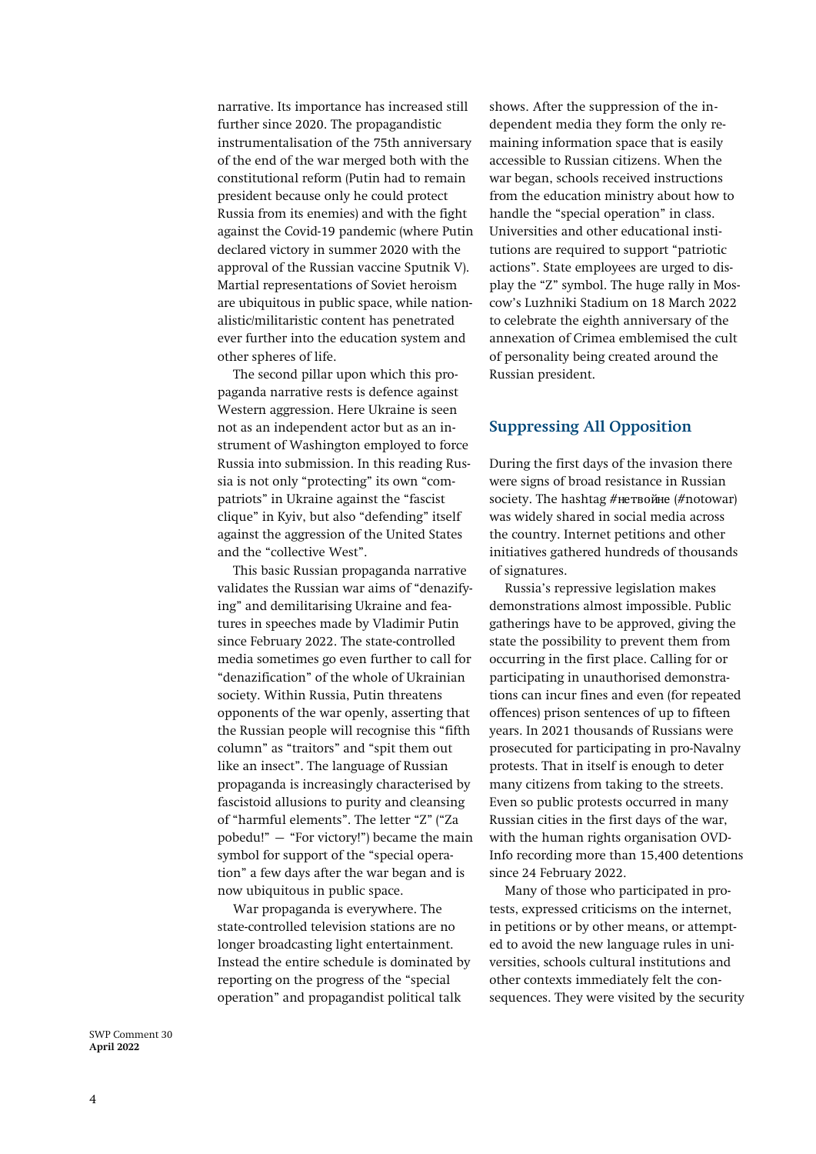narrative. Its importance has increased still further since 2020. The propagandistic instrumentalisation of the 75th anniversary of the end of the war merged both with the constitutional reform (Putin had to remain president because only he could protect Russia from its enemies) and with the fight against the Covid-19 pandemic (where Putin declared victory in summer 2020 with the approval of the Russian vaccine Sputnik V). Martial representations of Soviet heroism are ubiquitous in public space, while nationalistic/militaristic content has penetrated ever further into the education system and other spheres of life.

The second pillar upon which this propaganda narrative rests is defence against Western aggression. Here Ukraine is seen not as an independent actor but as an instrument of Washington employed to force Russia into submission. In this reading Russia is not only "protecting" its own "compatriots" in Ukraine against the "fascist clique" in Kyiv, but also "defending" itself against the aggression of the United States and the "collective West".

This basic Russian propaganda narrative validates the Russian war aims of "denazifying" and demilitarising Ukraine and features in speeches made by Vladimir Putin since February 2022. The state-controlled [media](https://ria.ru/20220403/ukraina-1781469605.html) sometimes go even further to call for "denazification" of the whole of Ukrainian society. Within Russia, Putin threatens opponents of the war openly, asserting that the Russian people will recognise this "fifth column" as "traitors" and "spit them out like an [insect](http://www.en.kremlin.ru/events/president/news/67996)". The language of Russian propaganda is increasingly characterised by fascistoid allusions to purity and cleansing of "harmful elements". The letter "Z" ("Za pobedu!" – "For victory!") became the main symbol for support of the "special operation" a few days after the war began and is now ubiquitous in public space.

War propaganda is everywhere. The state-controlled television stations are no longer broadcasting light entertainment. Instead the entire schedule is dominated by reporting on the progress of the "special operation" and propagandist political talk

shows. After the suppression of the independent media they form the only remaining information space that is easily accessible to Russian citizens. When the war began, schools received instructions from the education ministry about how to handle the "special operation" in class. [Universities](https://meduza.io/feature/2022/04/17/rossiyskie-vuzy-pereshli-na-voennoe-polozhenie-za-prepodavatelyami-sledyat-ih-zastavlyayut-chitat-propagandistskie-lektsii-a-studentov-travyat-za-antivoennye-posty) and other [educational insti](https://www.moscowtimes.ru/2022/04/05/s-nachala-voini-vlasti-rezko-narastili-trati-na-vospitanie-patriotov-a19278)[tutions](https://www.moscowtimes.ru/2022/04/05/s-nachala-voini-vlasti-rezko-narastili-trati-na-vospitanie-patriotov-a19278) are required to support "patriotic actions". State employees are urged to display the "Z" symbol. The huge rally in Moscow's Luzhniki Stadium on 18 March 2022 to celebrate the eighth anniversary of the annexation of Crimea emblemised the cult of personality being created around the Russian president.

### **Suppressing All Opposition**

During the first days of the invasion there were signs of broad resistance in Russian society. The hashtag #нетвойне (#notowar) was widely shared in social media [across](https://www.economist.com/graphic-detail/2022/02/28/russians-in-every-major-city-and-region-call-for-nowar)  [the country.](https://www.economist.com/graphic-detail/2022/02/28/russians-in-every-major-city-and-region-call-for-nowar) Internet [petitions](https://zeitschrift-osteuropa.de/blog/themenschwerpunkt/petitionen-aus-russland-gegen-den-krieg/) and other initiatives gathered hundreds of thousands of signatures.

Russia's repressive legislation makes demonstrations almost impossible. Public gatherings have to be approved, giving the state the possibility to prevent them from occurring in the first place. Calling for or participating in unauthorised demonstrations can incur fines and even (for repeated offences) prison sentences of up to fifteen years. In [2021](https://www.swp-berlin.org/publikation/repression-and-autocracy-as-russia-heads-into-state-duma-elections) thousands of Russians were prosecuted for participating in pro-Navalny protests. That in itself is enough to deter many citizens from taking to the streets. Even so public protests occurred in many Russian cities in the first days of the war, with the human rights organisation OVD-Info recording more than 15,400 detentions since 24 February 2022.

Many of those who participated in protests, expressed criticisms on the internet, in petitions or by other means, or attempted to avoid the new language rules in universities, schools cultural institutions and other contexts immediately felt the consequences. They were visited by the security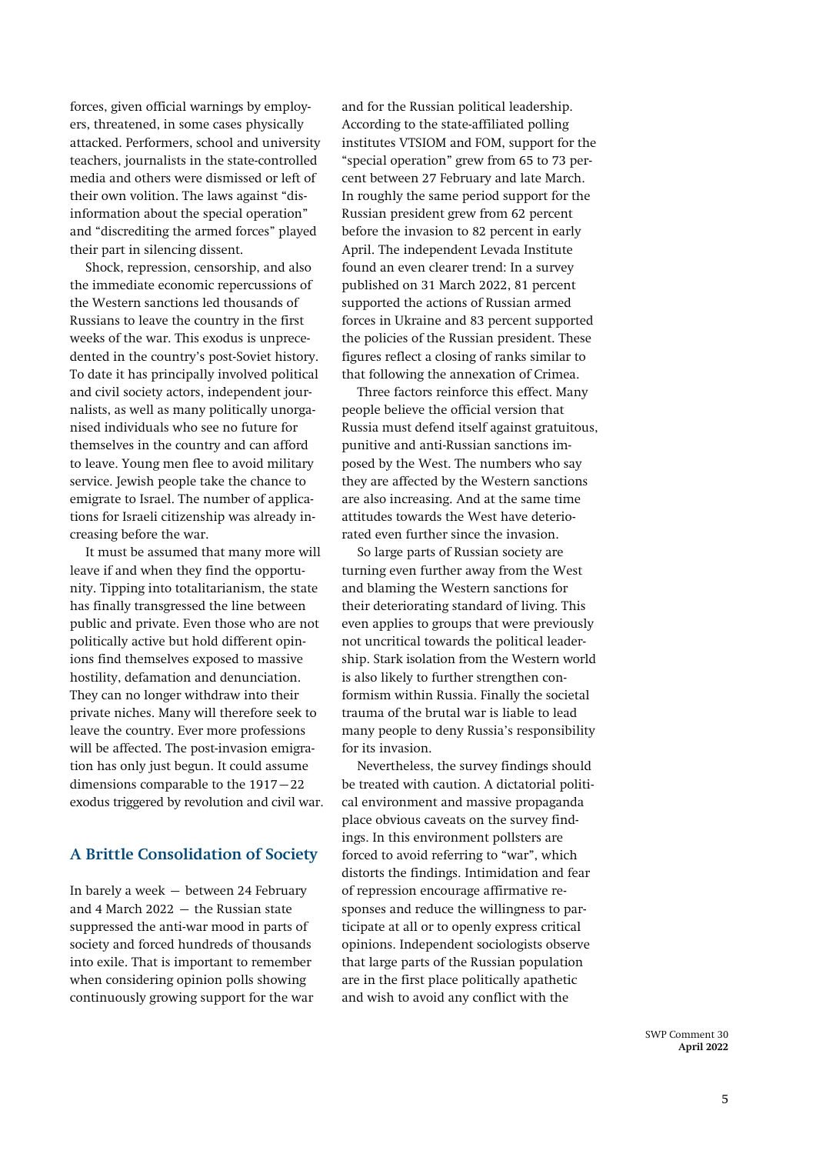forces, given official warnings by employers, threatened, in some cases physically attacked. Performers, school and university teachers, journalists in the state-controlled media and others were dismissed or left of their own volition. The laws against "disinformation about the special operation" and "discrediting the armed forces" played their part in silencing dissent.

Shock, repression, censorship, and also the immediate economic repercussions of the Western sanctions led thousands of Russians to leave the country in the first weeks of the war. This exodus is unprecedented in the country's post-Soviet history. To date it has principally involved political and civil society actors, independent journalists, as well as many politically unorganised individuals who see no future for themselves in the country and can afford to leave. Young men flee to avoid military service. Jewish people take the chance to emigrate to Israel. The number of applications for Israeli citizenship was already increasing before the war.

It must be assumed that many more will leave if and when they find the opportunity. Tipping into totalitarianism, the state has finally transgressed the line between public and private. Even those who are not politically active but hold different opinions find themselves exposed to massive hostility, defamation and denunciation. They can no longer withdraw into their private niches. Many will therefore seek to leave the country. Ever more professions will be affected. The post-invasion emigration has only just begun. It could assume dimensions comparable to the 1917–22 exodus triggered by revolution and civil war.

### **A Brittle Consolidation of Society**

In barely a week – between 24 February and 4 March 2022 – the Russian state suppressed the anti-war mood in parts of society and forced hundreds of thousands into exile. That is important to remember when considering opinion polls showing continuously growing support for the war

and for the Russian political leadership. According to the state-affiliated polling institutes VTSIOM and FOM, [support](https://fom.ru/Politika/14706) for the "special operation" grew from 65 to 73 percent between 27 February and late March. In roughly the same period [support](https://fom.ru/Politika/10946) for the Russian president grew from 62 percent before the invasion to 82 percent in early April. The independent Levada Institute found an even clearer trend: In a [survey](https://www.levada.ru/2022/03/31/konflikt-s-ukrainoj/) published on 31 March 2022, 81 percent supported the actions of Russian armed forces in Ukraine and 83 percent supported the policies of the Russian [president.](https://www.levada.ru/2022/03/30/odobrenie-institutov-rejtingi-partij-i-politikov/) These figures reflect [a closing of ranks](https://www.kommersant.ru/doc/5292448?from=main) similar to that following the annexation of Crimea.

Three factors reinforce this effect. Many people believe the official version that Russia must defend itself against gratuitous, punitive and anti-Russian sanctions imposed by the West. The numbers who say they are [affected](https://www.levada.ru/2022/04/01/sanktsii/) by the Western sanctions are also increasing. And at the same time [attitudes](https://www.levada.ru/indikatory/otnoshenie-k-stranam/) towards the West have deteriorated even further since the invasion.

So large parts of Russian society are turning even further away from the West and blaming the Western sanctions for their deteriorating standard of living. This even applies to groups that were previously not uncritical towards the political leadership. Stark isolation from the Western world is also likely to further strengthen conformism within Russia. Finally the societal trauma of the brutal war is liable to lead many people to deny Russia's responsibility for its invasion.

Nevertheless, the survey findings should be treated with caution. A dictatorial political environment and massive propaganda place obvious caveats on the survey findings. In this environment pollsters are forced to avoid referring to "war", which distorts the findings. Intimidation and fear of repression encourage affirmative responses and reduce the willingness to participate at all or to openly express critical opinions. Independent sociologists observe that large parts of the Russian population are in the first place politically apathetic and wish to avoid any conflict with the